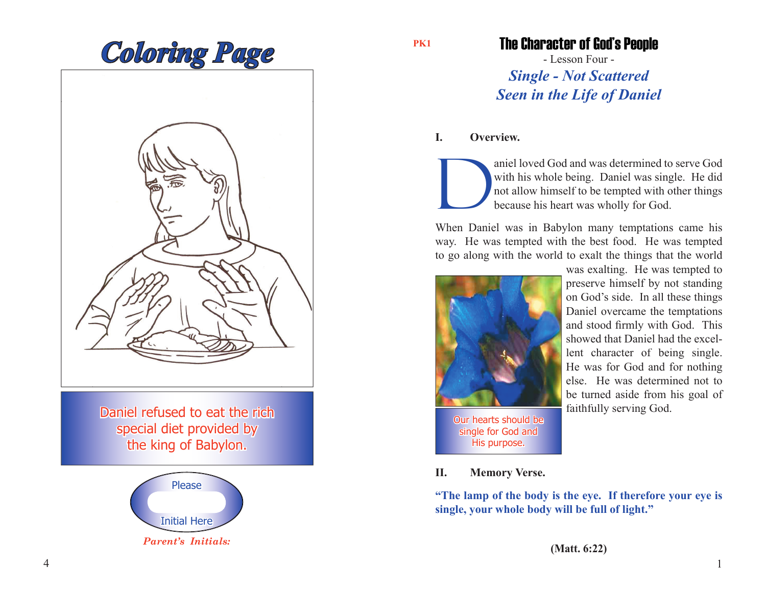

Daniel refused to eat the rich special diet provided by the king of Babylon.



**PK1**

The Character of God's People

- Lesson Four - *Single - Not Scattered Seen in the Life of Daniel*

## **I. Overview.**

aniel loved God and was determined to serve God<br>with his whole being. Daniel was single. He did<br>not allow himself to be tempted with other things<br>because his heart was wholly for God. with his whole being. Daniel was single. He did not allow himself to be tempted with other things because his heart was wholly for God.

When Daniel was in Babylon many temptations came his way. He was tempted with the best food. He was tempted to go along with the world to exalt the things that the world



Our hearts should be single for God and His purpose.

was exalting. He was tempted to preserve himself by not standing on God's side. In all these things Daniel overcame the temptations and stood firmly with God. This showed that Daniel had the excellent character of being single. He was for God and for nothing else. He was determined not to be turned aside from his goal of faithfully serving God.

**II. Memory Verse.**

**"The lamp of the body is the eye. If therefore your eye is single, your whole body will be full of light."**